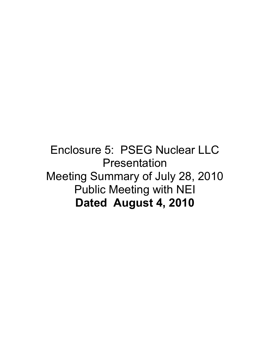### Enclosure 5: PSEG Nuclear LLC **Presentation** Meeting Summary of July 28, 2010 Public Meeting with NEI **Dated August 4, 2010**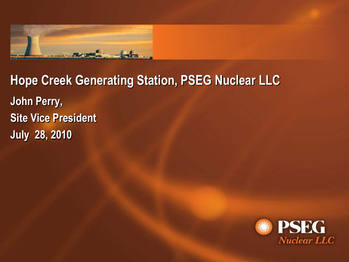

# **Hope Creek Generating Station, PSEG Nuclear LLC John Perry, Site Vice President July 28, 2010**

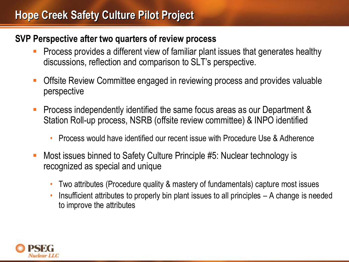#### **Hope Creek Safety Culture Pilot Project**

#### **SVP Perspective after two quarters of review process**

- Process provides a different view of familiar plant issues that generates healthy discussions, reflection and comparison to SLT's perspective.
- Offsite Review Committee engaged in reviewing process and provides valuable perspective
- Process independently identified the same focus areas as our Department & Station Roll-up process, NSRB (offsite review committee) & INPO identified
	- Process would have identified our recent issue with Procedure Use & Adherence
- Most issues binned to Safety Culture Principle #5: Nuclear technology is recognized as special and unique
	- Two attributes (Procedure quality & mastery of fundamentals) capture most issues
	- Insufficient attributes to properly bin plant issues to all principles A change is needed to improve the attributes

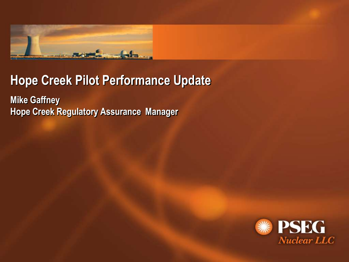

### **Hope Creek Pilot Performance Update**

**Mike Gaffney Hope Creek Regulatory Assurance Manager**

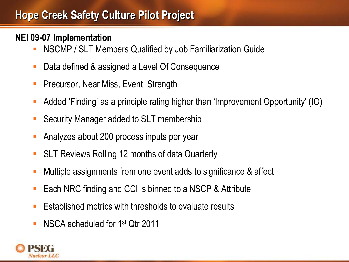### **Hope Creek Safety Culture Pilot Project**

#### **NEI 09-07 Implementation**

- NSCMP / SLT Members Qualified by Job Familiarization Guide
- Data defined & assigned a Level Of Consequence
- Precursor, Near Miss, Event, Strength
- Added 'Finding' as a principle rating higher than 'Improvement Opportunity' (IO)
- Security Manager added to SLT membership
- Analyzes about 200 process inputs per year
- SLT Reviews Rolling 12 months of data Quarterly
- Multiple assignments from one event adds to significance & affect
- Each NRC finding and CCI is binned to a NSCP & Attribute
- $\blacksquare$  Established metrics with thresholds to evaluate results
- NSCA scheduled for 1st Qtr 2011

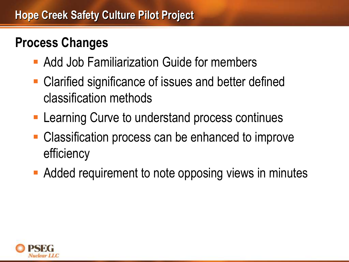## **Process Changes**

- Add Job Familiarization Guide for members
- Clarified significance of issues and better defined classification methods
- **Learning Curve to understand process continues**
- **Classification process can be enhanced to improve** efficiency
- **Added requirement to note opposing views in minutes**

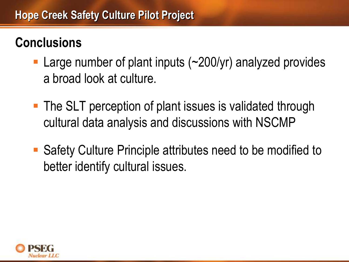## **Conclusions**

- Large number of plant inputs (~200/yr) analyzed provides a broad look at culture.
- **The SLT perception of plant issues is validated through** cultural data analysis and discussions with NSCMP
- Safety Culture Principle attributes need to be modified to better identify cultural issues.